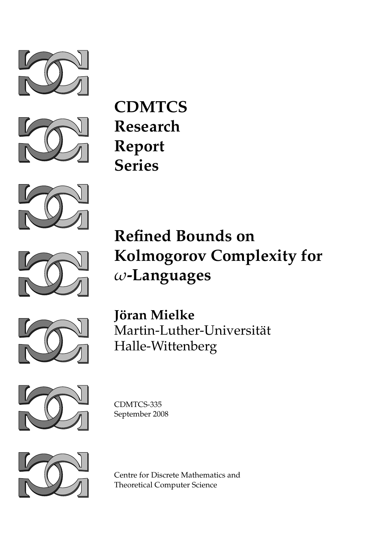



**CDMTCS Research Report Series**





**Refined Bounds on Kolmogorov Complexity for** *ω***-Languages**



**Jöran Mielke** Martin-Luther-Universität Halle-Wittenberg



CDMTCS-335 September 2008



Centre for Discrete Mathematics and Theoretical Computer Science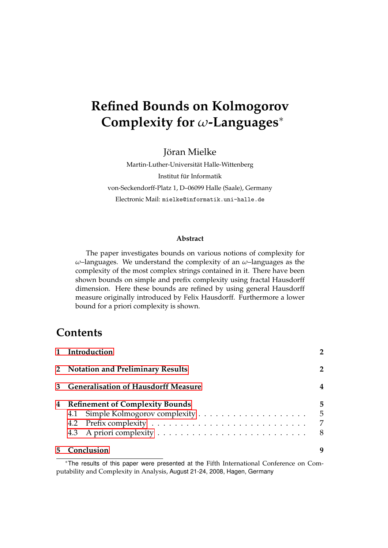# **Refined Bounds on Kolmogorov Complexity for** *ω***-Languages**<sup>∗</sup>

Jöran Mielke

Martin-Luther-Universitat Halle-Wittenberg ¨ Institut für Informatik von-Seckendorff-Platz 1, D–06099 Halle (Saale), Germany Electronic Mail: mielke@informatik.uni-halle.de

#### **Abstract**

The paper investigates bounds on various notions of complexity for *ω*–languages. We understand the complexity of an *ω*–languages as the complexity of the most complex strings contained in it. There have been shown bounds on simple and prefix complexity using fractal Hausdorff dimension. Here these bounds are refined by using general Hausdorff measure originally introduced by Felix Hausdorff. Furthermore a lower bound for a priori complexity is shown.

### **Contents**

|   | 1 Introduction                             |                  |
|---|--------------------------------------------|------------------|
|   | 2 Notation and Preliminary Results         | $\overline{2}$   |
| 3 | <b>Generalisation of Hausdorff Measure</b> | 4                |
| 4 | <b>Refinement of Complexity Bounds</b>     | 5<br>5<br>7<br>8 |
|   | Conclusion                                 | 9                |

<sup>∗</sup>The results of this paper were presented at the Fifth International Conference on Computability and Complexity in Analysis, August 21-24, 2008, Hagen, Germany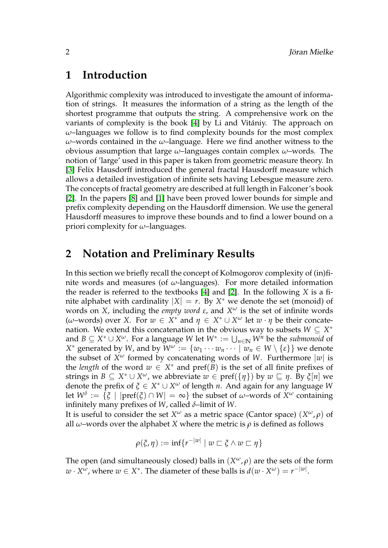### <span id="page-2-0"></span>**1 Introduction**

Algorithmic complexity was introduced to investigate the amount of information of strings. It measures the information of a string as the length of the shortest programme that outputs the string. A comprehensive work on the variants of complexity is the book [\[4\]](#page-10-0) by Li and Vitániy. The approach on *ω*–languages we follow is to find complexity bounds for the most complex *ω*–words contained in the *ω*–language. Here we find another witness to the obvious assumption that large *ω*–languages contain complex *ω*–words. The notion of 'large' used in this paper is taken from geometric measure theory. In [\[3\]](#page-10-1) Felix Hausdorff introduced the general fractal Hausdorff measure which allows a detailed investigation of infinite sets having Lebesgue measure zero. The concepts of fractal geometry are described at full length in Falconer's book [\[2\]](#page-10-2). In the papers [\[8\]](#page-10-3) and [\[1\]](#page-10-4) have been proved lower bounds for simple and prefix complexity depending on the Hausdorff dimension. We use the general Hausdorff measures to improve these bounds and to find a lower bound on a priori complexity for *ω*–languages.

# <span id="page-2-1"></span>**2 Notation and Preliminary Results**

In this section we briefly recall the concept of Kolmogorov complexity of (in)finite words and measures (of *ω*-languages). For more detailed information the reader is referred to the textbooks [\[4\]](#page-10-0) and [\[2\]](#page-10-2). In the following *X* is a finite alphabet with cardinality  $|X| = r$ . By  $X^*$  we denote the set (monoid) of words on *X*, including the *empty word ε*, and *X <sup>ω</sup>* is the set of infinite words (*ω*–words) over *X*. For *w* ∈ *X*<sup>\*</sup> and *η* ∈ *X*<sup>\*</sup> ∪ *X<sup>ω</sup>* let *w* ⋅ *η* be their concatenation. We extend this concatenation in the obvious way to subsets  $W \subseteq X^*$ and  $B \subseteq X^* \cup X^\omega$ . For a language W let  $W^* := \bigcup_{n \in \mathbb{N}} W^n$  be the *submonoid* of *X*<sup>\*</sup> generated by *W*, and by  $\widetilde{W}^{\omega} := \{w_1 \cdots w_n \cdots \mid w_n \in W \setminus \{\epsilon\}\}\$  we denote the subset of *X <sup>ω</sup>* formed by concatenating words of *W*. Furthermore |*w*| is the *length* of the word  $w \in X^*$  and  $\text{pref}(\overline{B})$  is the set of all finite prefixes of strings in  $B \subseteq X^* \cup X^\omega$ , we abbreviate  $w \in \text{pref}(\{\eta\})$  by  $w \sqsubseteq \eta$ . By  $\xi[n]$  we denote the prefix of *ξ* ∈ *X* <sup>∗</sup> ∪ *X <sup>ω</sup>* of length *n*. And again for any language *W* let  $W^{\delta}:=\{\xi\,\mid\,|{\rm pref}(\xi)\cap W|=\infty\}$  the subset of  $\omega{\rm -words}$  of  $X^{\omega}$  containing infinitely many prefixes of *W*, called *δ*–limit of *W*.

It is useful to consider the set  $X^\omega$  as a metric space (Cantor space)  $(X^\omega, \rho)$  of all  $ω$ –words over the alphabet *X* where the metric is  $ρ$  is defined as follows

$$
\rho(\xi,\eta):=\inf\{r^{-|w|} \mid w \sqsubset \xi \wedge w \sqsubset \eta\}
$$

The open (and simultaneously closed) balls in  $(X^{\omega}, \rho)$  are the sets of the form  $w \cdot X^{\omega}$ , where  $w \in X^*$ . The diameter of these balls is  $d(w \cdot X^{\omega}) = r^{-|w|}$ .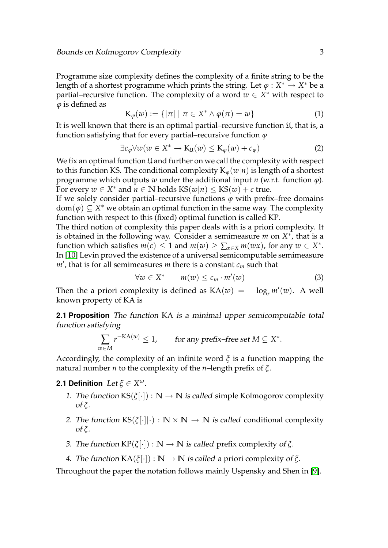Programme size complexity defines the complexity of a finite string to be the length of a shortest programme which prints the string. Let  $\varphi : X^* \to X^*$  be a partial–recursive function. The complexity of a word  $w \in X^*$  with respect to *ϕ* is defined as

$$
\mathcal{K}_{\varphi}(w) := \{ |\pi| \mid \pi \in X^* \wedge \varphi(\pi) = w \}
$$
 (1)

It is well known that there is an optimal partial–recursive function  $\mathfrak{U}$ , that is, a function satisfying that for every partial–recursive function *ϕ*

$$
\exists c_{\varphi} \forall w (w \in X^* \to \mathbf{K}_{\mathfrak{U}}(w) \leq \mathbf{K}_{\varphi}(w) + c_{\varphi}) \tag{2}
$$

We fix an optimal function  $\mathfrak U$  and further on we call the complexity with respect to this function KS. The conditional complexity  $K_{\varphi}(w|n)$  is length of a shortest programme which outputs *w* under the additional input *n* (w.r.t. function *ϕ*). For every  $w \in X^*$  and  $n \in \mathbb{N}$  holds  $KS(w|n) \leq KS(w) + c$  true.

If we solely consider partial–recursive functions  $\varphi$  with prefix–free domains dom(*ϕ*) ⊆ *X* <sup>∗</sup> we obtain an optimal function in the same way. The complexity function with respect to this (fixed) optimal function is called KP.

The third notion of complexity this paper deals with is a priori complexity. It is obtained in the following way. Consider a semimeasure  $m$  on  $X^*$ , that is a function which satisfies  $m(\epsilon) \leq 1$  and  $m(w) \geq \sum_{x \in X} m(wx)$ , for any  $w \in X^*$ . In [\[10\]](#page-10-5) Levin proved the existence of a universal semicomputable semimeasure  $m'$ , that is for all semimeasures *m* there is a constant  $c_m$  such that

<span id="page-3-0"></span>
$$
\forall w \in X^* \qquad m(w) \leq c_m \cdot m'(w) \tag{3}
$$

Then the a priori complexity is defined as  $KA(w) = -\log_r m'(w)$ . A well known property of KA is

**2.1 Proposition** The function KA is a minimal upper semicomputable total function satisfying

$$
\sum_{w \in M} r^{-\text{KA}(w)} \le 1, \qquad \text{for any prefix-free set } M \subseteq X^*.
$$

Accordingly, the complexity of an infinite word *ξ* is a function mapping the natural number *n* to the complexity of the *n*–length prefix of *ξ*.

#### **2.1 Definition** Let *ξ* ∈ *X ω*.

- 1. The function  $KS(\xi[\cdot]) : \mathbb{N} \to \mathbb{N}$  is called simple Kolmogorov complexity of *ξ*.
- 2. The function  $KS(\xi[\cdot||\cdot): \mathbb{N} \times \mathbb{N} \to \mathbb{N}$  is called conditional complexity of *ξ*.
- 3. The function  $KP(\xi[\cdot]): \mathbb{N} \to \mathbb{N}$  is called prefix complexity of  $\xi$ .
- 4. The function  $KA(\xi[\cdot]): \mathbb{N} \to \mathbb{N}$  is called a priori complexity of  $\xi$ .

Throughout the paper the notation follows mainly Uspensky and Shen in [\[9\]](#page-10-6).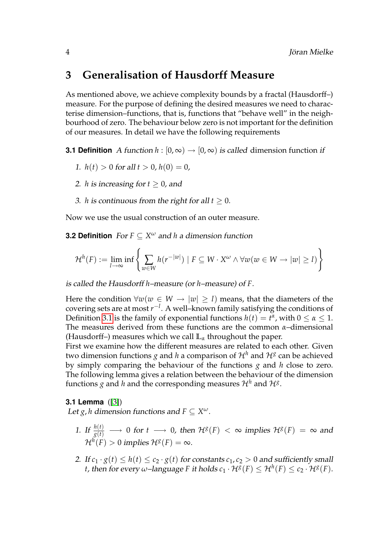# <span id="page-4-0"></span>**3 Generalisation of Hausdorff Measure**

As mentioned above, we achieve complexity bounds by a fractal (Hausdorff–) measure. For the purpose of defining the desired measures we need to characterise dimension–functions, that is, functions that "behave well" in the neighbourhood of zero. The behaviour below zero is not important for the definition of our measures. In detail we have the following requirements

**3.1 Definition** A function  $h : [0, \infty) \rightarrow [0, \infty)$  is called dimension function if

- <span id="page-4-1"></span>1.  $h(t) > 0$  for all  $t > 0$ ,  $h(0) = 0$ ,
- 2. *h* is increasing for  $t > 0$ , and
- 3. *h* is continuous from the right for all  $t \geq 0$ .

Now we use the usual construction of an outer measure.

**3.2 Definition** For *F* ⊆ *X <sup>ω</sup>* and *h* a dimension function

$$
\mathcal{H}^{h}(F) := \lim_{l \to \infty} \inf \left\{ \sum_{w \in W} h(r^{-|w|}) \mid F \subseteq W \cdot X^{\omega} \wedge \forall w (w \in W \to |w| \geq l) \right\}
$$

is called the Hausdorff *h*–measure (or *h*–measure) of *F*.

Here the condition  $\forall w(w \in W \rightarrow |w| \geq l)$  means, that the diameters of the covering sets are at most *r* −*l* . A well–known family satisfying the conditions of Definition [3.1](#page-4-1) is the family of exponential functions  $h(t) = t^{\alpha}$ , with  $0 \le \alpha \le 1$ . The measures derived from these functions are the common *α*–dimensional (Hausdorff–) measures which we call **L***<sup>α</sup>* throughout the paper.

First we examine how the different measures are related to each other. Given two dimension functions  $g$  and  $h$  a comparison of  $\mathcal{H}^h$  and  $\mathcal{H}^g$  can be achieved by simply comparing the behaviour of the functions *g* and *h* close to zero. The following lemma gives a relation between the behaviour of the dimension functions  $g$  and  $h$  and the corresponding measures  $\mathcal{H}^h$  and  $\mathcal{H}^g.$ 

#### **3.1 Lemma** ([\[3\]](#page-10-1))

Let *g*, *h* dimension functions and  $F \subseteq X^{\omega}$ .

- <span id="page-4-2"></span>1. If  $\frac{h(t)}{g(t)} \longrightarrow 0$  for  $t \longrightarrow 0$ , then  $\mathcal{H}^g(F) < \infty$  implies  $\mathcal{H}^g(F) = \infty$  and  $\mathcal{H}^{h}(F)>0$  implies  $\mathcal{H}^{g}(F)=\infty$ .
- 2. If  $c_1 \cdot g(t) \leq h(t) \leq c_2 \cdot g(t)$  for constants  $c_1, c_2 > 0$  and sufficiently small *t*, then for every  $\omega$ -language F it holds  $c_1 \cdot H^g(F) \leq H^h(F) \leq c_2 \cdot H^g(F)$ .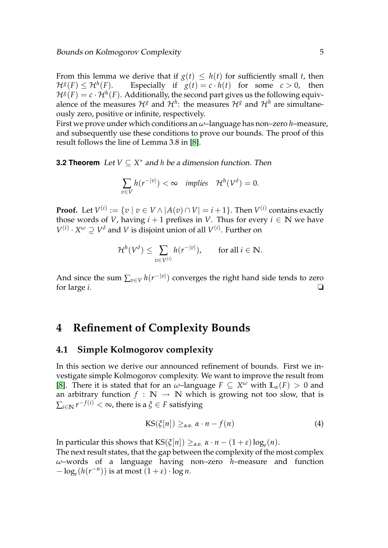From this lemma we derive that if  $g(t) \leq h(t)$  for sufficiently small *t*, then  $\mathcal{H}^g(F) \leq \mathcal{H}^h$ Especially if  $g(t) = c \cdot h(t)$  for some  $c > 0$ , then  $\mathcal{H}^g(F) = c \cdot \mathcal{H}^h(F).$  Additionally, the second part gives us the following equivalence of the measures  $\mathcal{H}^g$  and  $\mathcal{H}^h$ : the measures  $\mathcal{H}^g$  and  $\mathcal{H}^h$  are simultaneously zero, positive or infinite, respectively.

First we prove under which conditions an *ω*–language has non–zero *h*–measure, and subsequently use these conditions to prove our bounds. The proof of this result follows the line of Lemma 3.8 in [\[8\]](#page-10-3).

<span id="page-5-3"></span>**3.2 Theorem** Let  $V \subseteq X^*$  and *h* be a dimension function. Then

$$
\sum_{v \in V} h(r^{-|v|}) < \infty \quad \text{implies} \quad \mathcal{H}^h(V^\delta) = 0.
$$

**Proof.** Let  $V^{(i)} := \{v \mid v \in V \wedge |A(v) \cap V| = i+1\}.$  Then  $V^{(i)}$  contains exactly those words of *V*, having  $i + 1$  prefixes in *V*. Thus for every  $i \in \mathbb{N}$  we have  $V^{(i)} \cdot X^{\omega} \supseteq V^{\delta}$  and *V* is disjoint union of all  $V^{(i)}$ . Further on

$$
\mathcal{H}^h(V^\delta)\leq \sum_{v\in V^{(i)}}h(r^{-|v|}),\qquad\text{for all }i\in\mathbb{N}.
$$

And since the sum  $\sum_{v \in V} h(r^{-|v|})$  converges the right hand side tends to zero for large  $i$ .  $\Box$ 

### <span id="page-5-0"></span>**4 Refinement of Complexity Bounds**

#### <span id="page-5-1"></span>**4.1 Simple Kolmogorov complexity**

In this section we derive our announced refinement of bounds. First we investigate simple Kolmogorov complexity. We want to improve the result from [\[8\]](#page-10-3). There it is stated that for an  $\omega$ -language  $F \subseteq X^{\omega}$  with  $\mathbb{L}_{\alpha}(F) > 0$  and an arbitrary function  $f : \mathbb{N} \to \mathbb{N}$  which is growing not too slow, that is  $\sum_{i\in \mathbb{N}} r^{-f(i)} < \infty$ , there is a  $\xi \in F$  satisfying

<span id="page-5-4"></span><span id="page-5-2"></span>
$$
KS(\xi[n]) \geq_{a.e.} \alpha \cdot n - f(n) \tag{4}
$$

In particular this shows that  $\text{KS}(\xi[n]) \geq_{\text{a.e.}} \alpha \cdot n - (1+\varepsilon) \log_r(n)$ .

The next result states, that the gap between the complexity of the most complex *ω*–words of a language having non–zero *h*–measure and function  $-\log_r(h(r^{-n}))$  is at most  $(1+\varepsilon) \cdot \log n$ .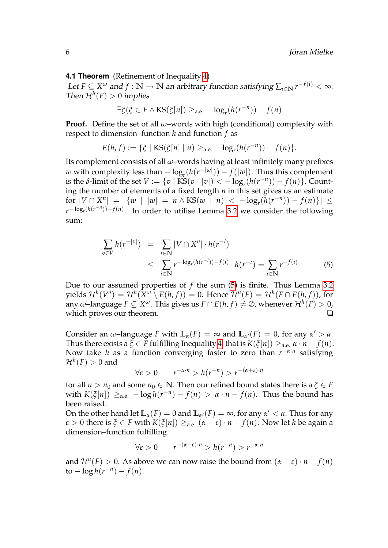#### **4.1 Theorem** (Refinement of Inequality [4\)](#page-5-2)

Let  $F \subseteq X^\omega$  and  $f : \mathbb{N} \to \mathbb{N}$  an arbitrary function satisfying  $\sum_{i \in \mathbb{N}} r^{-f(i)} < \infty$ . Then  $\mathcal{H}^h(F) > 0$  implies

$$
\exists \xi(\xi \in F \land \text{KS}(\xi[n]) \geq_{\text{a.e.}} -\log_r(h(r^{-n})) - f(n)
$$

**Proof.** Define the set of all *ω*–words with high (conditional) complexity with respect to dimension–function *h* and function *f* as

$$
E(h,f) := \{ \xi \mid \text{KS}(\xi[n] \mid n) \geq_{\text{a.e.}} -\log_r(h(r^{-n})) - f(n) \}.
$$

Its complement consists of all *ω*–words having at least infinitely many prefixes *w* with complexity less than  $-\log_r(h(r^{-|w|})) - f(|w|)$ . Thus this complement is the *δ*-limit of the set  $V := \{v \mid \text{KS}(v \mid |v|) < -\log_r(h(r^{-n})) - f(n)\}.$  Counting the number of elements of a fixed length *n* in this set gives us an estimate  $\int \int f(x) \, dx = \left| \{ w \mid |w| = n \wedge \text{KS}(w \mid n) \right| \leq -\log_r(\tilde{h}(r^{-n})) - f(n) \} \right| \leq$  $r^{-\log_r(h(r^{-n}))-f(n)}$ . In order to utilise Lemma [3.2](#page-5-3) we consider the following sum:

<span id="page-6-0"></span>
$$
\sum_{v \in V} h(r^{-|v|}) = \sum_{i \in \mathbb{N}} |V \cap X^n| \cdot h(r^{-i})
$$
\n
$$
\leq \sum_{i \in \mathbb{N}} r^{-\log_r(h(r^{-i})) - f(i)} \cdot h(r^{-i}) = \sum_{i \in \mathbb{N}} r^{-f(i)} \tag{5}
$$

Due to our assumed properties of *f* the sum [\(5\)](#page-6-0) is finite. Thus Lemma [3.2](#page-5-3)  ${\mathcal H}^h(V^{\delta}) = {\mathcal H}^h(X^{\omega} \setminus E(h,f)) = 0.$  Hence  ${\mathcal H}^h(F) = {\mathcal H}^h(F \cap E(h,f)),$  for any  $\omega$ –language  $F \subseteq X^\omega$ . This gives us  $F \cap E(h,f) \neq \varnothing$ , whenever  $\mathcal{H}^h(F) > 0$ , which proves our theorem. <br>□

Consider an  $\omega$ -language *F* with  $\mathbb{L}_{\alpha}(F) = \infty$  and  $\mathbb{L}_{\alpha'}(F) = 0$ , for any  $\alpha' > \alpha$ . Thus there exists a  $\xi \in F$  fulfilling Inequality [4,](#page-5-2) that is  $K(\xi[n]) \geq_{\text{a.e.}} \alpha \cdot n - f(n)$ . Now take *h* as a function converging faster to zero than *r* −*α*·*n* satisfying  $\mathcal{H}^{h}(F)>0$  and

$$
\forall \varepsilon > 0 \qquad r^{-\alpha \cdot n} > h(r^{-n}) > r^{-(\alpha + \varepsilon) \cdot n}
$$

for all  $n > n_0$  and some  $n_0 \in \mathbb{N}$ . Then our refined bound states there is a  $\xi \in F$ with  $K(\xi[n]) \geq_{a.e.} -\log h(r^{-n}) - f(n) > \alpha \cdot n - f(n)$ . Thus the bound has been raised.

On the other hand let  $\mathbb{L}_{\alpha}(F) = 0$  and  $\mathbb{L}_{\alpha'}(F) = \infty$ , for any  $\alpha' < \alpha$ . Thus for any *ε* > 0 there is *ξ* ∈ *F* with *K*(*ξ*[*n*]) ≥<sub>a.e.</sub> ( $α − ε$ ) ·  $n - f(n)$ . Now let *h* be again a dimension–function fulfilling

$$
\forall \varepsilon > 0 \qquad r^{-(\alpha - \varepsilon) \cdot n} > h(r^{-n}) > r^{-\alpha \cdot n}
$$

and  $\mathcal{H}^h(F) > 0$ . As above we can now raise the bound from  $(\alpha - \varepsilon) \cdot n - f(n)$  $\frac{1}{b} \cos h(r^{-n}) - f(n).$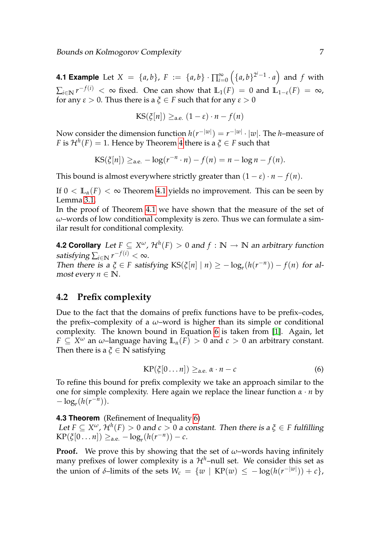**4.1 Example** Let  $X = \{a, b\}$ ,  $F := \{a, b\} \cdot \prod_{i=0}^{\infty} (\{a, b\}^{2^{i}-1} \cdot a)$  and  $f$  with  $\sum_{i\in\mathbb{N}} r^{-f(i)} < \infty$  fixed. One can show that  $\mathbb{L}_1(F) = 0$  and  $\mathbb{L}_{1-\varepsilon}(F) = \infty$ , for any  $\varepsilon > 0$ . Thus there is a  $\xi \in F$  such that for any  $\varepsilon > 0$ 

$$
KS(\xi[n]) \geq_{\text{a.e.}} (1-\varepsilon) \cdot n - f(n)
$$

Now consider the dimension function  $h(r^{-|w|}) = r^{-|w|} \cdot |w|.$  The *h*–measure of *F* is  $\mathcal{H}^h(F) = 1$ . Hence by Theorem [4](#page-5-2) there is a  $\xi \in F$  such that

$$
KS(\xi[n]) \geq_{\text{a.e.}} -\log(r^{-n} \cdot n) - f(n) = n - \log n - f(n).
$$

This bound is almost everywhere strictly greater than  $(1 - \varepsilon) \cdot n - f(n)$ .

If  $0 < L_{\alpha}(F) < \infty$  Theorem [4.1](#page-5-4) yields no improvement. This can be seen by Lemma [3.1.](#page-4-2)

In the proof of Theorem [4.1](#page-5-4) we have shown that the measure of the set of *ω*–words of low conditional complexity is zero. Thus we can formulate a similar result for conditional complexity.

**4.2 Corollary** Let  $F \subseteq X^\omega$  ,  $\mathcal{H}^h(F) > 0$  and  $f : \mathbb{N} \to \mathbb{N}$  an arbitrary function satisfying  $\sum_{i\in\mathbb{N}} r^{-f(i)} < \infty$ . Then there is a  $\xi \in F$  satisfying  $\text{KS}(\xi[n] \mid n) \geq -\log_r(h(r^{-n})) - f(n)$  for almost every  $n \in \mathbb{N}$ .

#### <span id="page-7-0"></span>**4.2 Prefix complexity**

Due to the fact that the domains of prefix functions have to be prefix–codes, the prefix–complexity of a *ω*–word is higher than its simple or conditional complexity. The known bound in Equation [6](#page-7-1) is taken from [\[1\]](#page-10-4). Again, let  $F \subseteq X^\omega$  an  $\omega$ –language having  $\mathbb{L}_{\alpha}(F) > 0$  and  $c > 0$  an arbitrary constant. Then there is a  $\xi \in \mathbb{N}$  satisfying

<span id="page-7-1"></span>
$$
KP(\xi[0\ldots n]) \geq_{a.e.} \alpha \cdot n - c \tag{6}
$$

To refine this bound for prefix complexity we take an approach similar to the one for simple complexity. Here again we replace the linear function *α* · *n* by  $-\log_r(h(r^{-n})).$ 

<span id="page-7-2"></span>**4.3 Theorem** (Refinement of Inequality [6\)](#page-7-1)

Let  $F \subseteq X^{\omega}$ ,  $\mathcal{H}^h(F) > 0$  and  $c > 0$  a constant. Then there is a  $\xi \in F$  fulfilling  $\text{KP}(\xi[0 \dots n]) \geq_{a.e.} -\log_r(h(r^{-n})) - c.$ 

**Proof.** We prove this by showing that the set of  $\omega$ –words having infinitely many prefixes of lower complexity is a  $\mathcal{H}^h$ –null set. We consider this set as the union of  $\delta$ -limits of the sets  $W_c = \{w \mid \text{KP}(w) \leq -\log(h(r^{-|w|})) + c\},$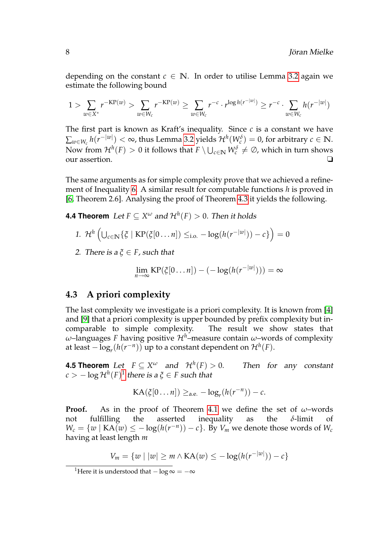depending on the constant  $c \in \mathbb{N}$ . In order to utilise Lemma [3.2](#page-5-3) again we estimate the following bound

$$
1 > \sum_{w \in X^*} r^{-\text{KP}(w)} > \sum_{w \in W_c} r^{-\text{KP}(w)} \ge \sum_{w \in W_c} r^{-c} \cdot r^{\log h(r^{-|w|})} \ge r^{-c} \cdot \sum_{w \in W_c} h(r^{-|w|})
$$

The first part is known as Kraft's inequality. Since *c* is a constant we have  $\sum_{w \in W_c} h(r^{-|w|}) < \infty$ , thus Lemma [3.2](#page-5-3) yields  $\mathcal{H}^h(W_c^{\delta}) = 0$ , for arbitrary  $c \in \mathbb{N}.$ Now from  $\mathcal{H}^h(F) > 0$  it follows that  $F \setminus \bigcup_{c \in \mathbb{N}} W_c^{\delta} \neq \varnothing$ , which in turn shows our assertion. ❏

The same arguments as for simple complexity prove that we achieved a refinement of Inequality [6.](#page-7-1) A similar result for computable functions *h* is proved in [\[6,](#page-10-7) Theorem 2.6]. Analysing the proof of Theorem [4.3](#page-7-2) it yields the following.

<span id="page-8-2"></span>**4.4 Theorem**  $\,$  Let  $F \subseteq X^\omega$  and  $\mathcal{H}^h(F) > 0.$  Then it holds

1. 
$$
\mathcal{H}^h\left(\bigcup_{c\in\mathbb{N}}\{\xi \mid \text{KP}(\xi[0\ldots n])\leq_{i.o.}-\log(h(r^{-|w|}))-c\}\right)=0
$$

2. There is  $a \xi \in F$ , such that

$$
\lim_{n\to\infty}\text{KP}(\xi[0\ldots n]) - (-\log(h(r^{-|w|}))) = \infty
$$

#### <span id="page-8-0"></span>**4.3 A priori complexity**

The last complexity we investigate is a priori complexity. It is known from [\[4\]](#page-10-0) and [\[9\]](#page-10-6) that a priori complexity is upper bounded by prefix complexity but incomparable to simple complexity. The result we show states that *ω*–languages *F* having positive  $\mathcal{H}^h$ –measure contain *ω*–words of complexity at least  $-\log_r(h(r^{-n}))$  up to a constant dependent on  $\mathcal{H}^h(F)$ .

**4.5 Theorem** Let  $F \subseteq X^\omega$  and  $\mathcal{H}^h$ Then for any constant  $c > -\log \mathcal{H}^h(F)^1$  $c > -\log \mathcal{H}^h(F)^1$  there is a  $\xi \in F$  such that

$$
KA(\xi[0\ldots n]) \geq_{a.e.} -log_r(h(r^{-n})) - c.
$$

**Proof.** As in the proof of Theorem [4.1](#page-5-4) we define the set of *ω*–words not fulfilling the asserted inequality as the *δ*-limit of  $W_c = \{w \mid \text{KA}(w) \leq -\log(h(r^{-n})) - c\}$ . By  $V_m$  we denote those words of  $W_c$ having at least length *m*

$$
V_m = \{w \mid |w| \ge m \land \text{KA}(w) \le -\log(h(r^{-|w|})) - c\}
$$

<span id="page-8-1"></span><sup>&</sup>lt;sup>1</sup>Here it is understood that  $-\log \infty = -\infty$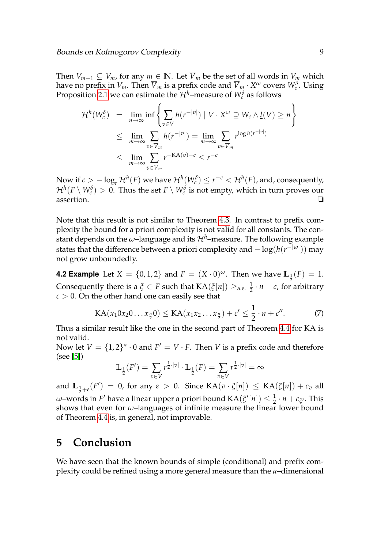Then  $V_{m+1} \subseteq V_m$ , for any  $m \in \mathbb{N}$ . Let  $\overline{V}_m$  be the set of all words in  $V_m$  which have no prefix in  $V_m$ . Then  $\overline{V}_m$  is a prefix code and  $\overline{V}_m \cdot X^\omega$  covers  $W_c^\delta$ . Using Proposition [2.1](#page-3-0) we can estimate the  $\mathcal{H}^h\text{-}\text{measure of }W_c^{\delta}$  as follows

$$
\mathcal{H}^{h}(W_{c}^{\delta}) = \lim_{n \to \infty} \inf \left\{ \sum_{v \in V} h(r^{-|v|}) \mid V \cdot X^{\omega} \supseteq W_{c} \wedge \underline{l}(V) \geq n \right\}
$$
  

$$
\leq \lim_{m \to \infty} \sum_{v \in \overline{V}_{m}} h(r^{-|v|}) = \lim_{m \to \infty} \sum_{v \in \overline{V}_{m}} r^{\log h(r^{-|v|})}
$$
  

$$
\leq \lim_{m \to \infty} \sum_{v \in \overline{V}_{m}} r^{-\text{KA}(v)-c} \leq r^{-c}
$$

Now if  $c > -\log_r \mathcal{H}^h(F)$  we have  $\mathcal{H}^h(W_c^{\delta}) \leq r^{-c} < \mathcal{H}^h(F)$ , and, consequently,  $\mathcal{H}^h(F\setminus W_c^\delta)>0.$  Thus the set  $F\setminus W_c^\delta$  is not empty, which in turn proves our assertion. ❏

Note that this result is not similar to Theorem [4.3.](#page-7-2) In contrast to prefix complexity the bound for a priori complexity is not valid for all constants. The constant depends on the  $\omega$ -language and its  $\mathcal{H}^h$ -measure. The following example states that the difference between a priori complexity and − log(*h*(*r* −|*w*| )) may not grow unboundedly.

**4.2 Example** Let  $X = \{0, 1, 2\}$  and  $F = (X \cdot 0)^{\omega}$ . Then we have  $\mathbb{L}_{\frac{1}{2}}(F) = 1$ . Consequently there is a  $\xi \in F$  such that  $\text{KA}(\xi[n]) \geq_{\text{a.e.}} \frac{1}{2}$  $\frac{1}{2} \cdot n - c$ , for arbitrary  $c > 0$ . On the other hand one can easily see that

$$
KA(x_1 0x_2 0... x_{\frac{n}{2}} 0) \leq KA(x_1 x_2 ... x_{\frac{n}{2}}) + c' \leq \frac{1}{2} \cdot n + c''.
$$
 (7)

Thus a similar result like the one in the second part of Theorem [4.4](#page-8-2) for KA is not valid.

Now let  $V = \{1, 2\}^* \cdot 0$  and  $F' = V \cdot F$ . Then *V* is a prefix code and therefore (see [\[5\]](#page-10-8))

$$
\mathbb{L}_{\frac{1}{2}}(F') = \sum_{v \in V} r^{\frac{1}{2} \cdot |v|} \cdot \mathbb{L}_{\frac{1}{2}}(F) = \sum_{v \in V} r^{\frac{1}{2} \cdot |v|} = \infty
$$

and  $\mathbb{L}_{\frac{1}{2}+\varepsilon}(F') = 0$ , for any  $\varepsilon > 0$ . Since  $\text{KA}(v \cdot \xi[n]) \leq \text{KA}(\xi[n]) + c_v$  all *ω*–words in *F*<sup>'</sup> have a linear upper a priori bound KA( $\zeta'[n]) \leq \frac{1}{2} \cdot n + c_{\zeta'}$ . This shows that even for *ω*–languages of infinite measure the linear lower bound of Theorem [4.4](#page-8-2) is, in general, not improvable.

# <span id="page-9-0"></span>**5 Conclusion**

We have seen that the known bounds of simple (conditional) and prefix complexity could be refined using a more general measure than the *α*–dimensional